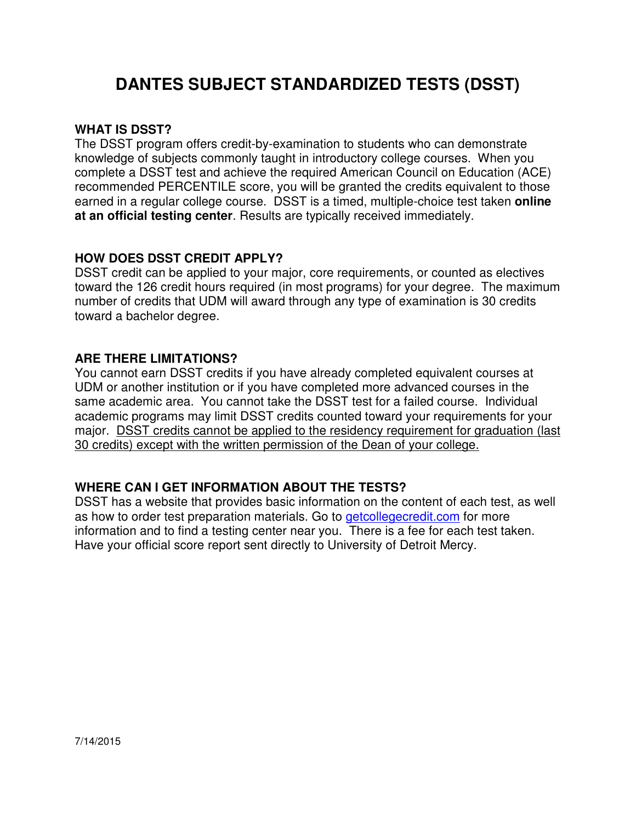## **DANTES SUBJECT STANDARDIZED TESTS (DSST)**

#### **WHAT IS DSST?**

The DSST program offers credit-by-examination to students who can demonstrate knowledge of subjects commonly taught in introductory college courses. When you complete a DSST test and achieve the required American Council on Education (ACE) recommended PERCENTILE score, you will be granted the credits equivalent to those earned in a regular college course. DSST is a timed, multiple-choice test taken **online at an official testing center**. Results are typically received immediately.

#### **HOW DOES DSST CREDIT APPLY?**

DSST credit can be applied to your major, core requirements, or counted as electives toward the 126 credit hours required (in most programs) for your degree. The maximum number of credits that UDM will award through any type of examination is 30 credits toward a bachelor degree.

#### **ARE THERE LIMITATIONS?**

You cannot earn DSST credits if you have already completed equivalent courses at UDM or another institution or if you have completed more advanced courses in the same academic area. You cannot take the DSST test for a failed course. Individual academic programs may limit DSST credits counted toward your requirements for your major. DSST credits cannot be applied to the residency requirement for graduation (last 30 credits) except with the written permission of the Dean of your college.

### **WHERE CAN I GET INFORMATION ABOUT THE TESTS?**

DSST has a website that provides basic information on the content of each test, as well as how to order test preparation materials. Go to *getcollegecredit.com* for more information and to find a testing center near you. There is a fee for each test taken. Have your official score report sent directly to University of Detroit Mercy.